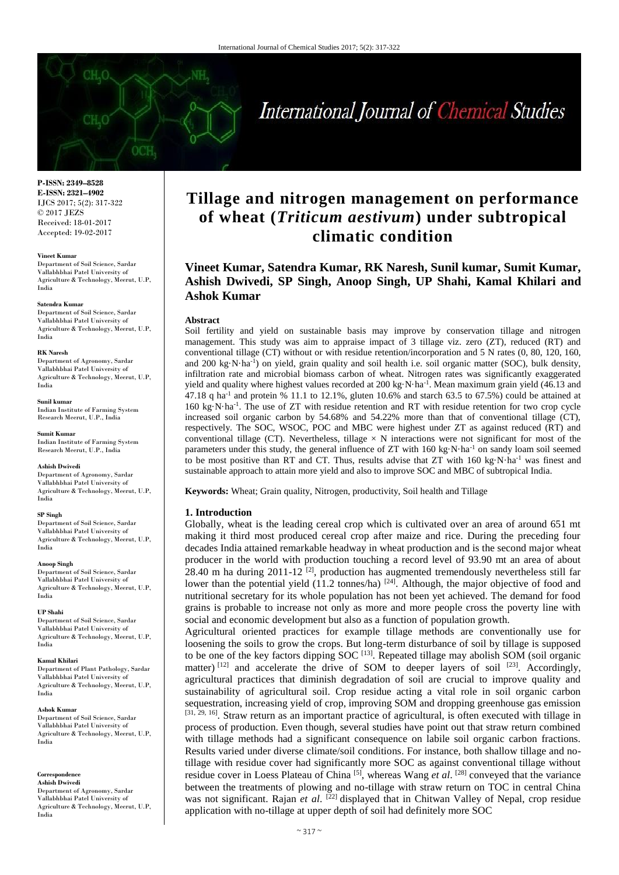# International Journal of Chemical Studies

**P-ISSN: 2349–8528 E-ISSN: 2321–4902** IJCS 2017; 5(2): 317-322 © 2017 JEZS Received: 18-01-2017 Accepted: 19-02-2017

#### **Vineet Kumar**

Department of Soil Science, Sardar Vallabhbhai Patel University of Agriculture & Technology, Meerut, U.P, India

#### **Satendra Kumar**

Department of Soil Science, Sardar Vallabhbhai Patel University of Agriculture & Technology, Meerut, U.P, India

#### **RK Naresh**

Department of Agronomy, Sardar Vallabhbhai Patel University of Agriculture & Technology, Meerut, U.P, India

#### **Sunil kumar**

Indian Institute of Farming System Research Meerut, U.P., India

**Sumit Kumar** 

Indian Institute of Farming System Research Meerut, U.P., India

#### **Ashish Dwivedi**

Department of Agronomy, Sardar Vallabhbhai Patel University of Agriculture & Technology, Meerut, U.P, India

## **SP Singh**

Department of Soil Science, Sardar Vallabhbhai Patel University of Agriculture & Technology, Meerut, U.P, India

#### **Anoop Singh**

Department of Soil Science, Sardar Vallabhbhai Patel University of Agriculture & Technology, Meerut, U.P, India

#### **UP Shahi**

Department of Soil Science, Sardar Vallabhbhai Patel University of Agriculture & Technology, Meerut, U.P, India

#### **Kamal Khilari**

Department of Plant Pathology, Sardar Vallabhbhai Patel University of Agriculture & Technology, Meerut, U.P, India

#### **Ashok Kumar**

Department of Soil Science, Sardar Vallabhbhai Patel University of Agriculture & Technology, Meerut, U.P, India

#### **Correspondence Ashish Dwivedi**

Department of Agronomy, Sardar Vallabhbhai Patel University of Agriculture & Technology, Meerut, U.P, India

## **Tillage and nitrogen management on performance of wheat (***Triticum aestivum***) under subtropical climatic condition**

## **Vineet Kumar, Satendra Kumar, RK Naresh, Sunil kumar, Sumit Kumar, Ashish Dwivedi, SP Singh, Anoop Singh, UP Shahi, Kamal Khilari and Ashok Kumar**

#### **Abstract**

Soil fertility and yield on sustainable basis may improve by conservation tillage and nitrogen management. This study was aim to appraise impact of 3 tillage viz. zero (ZT), reduced (RT) and conventional tillage (CT) without or with residue retention/incorporation and 5 N rates (0, 80, 120, 160, and 200 kg·N·ha<sup>-1</sup>) on yield, grain quality and soil health i.e. soil organic matter (SOC), bulk density, infiltration rate and microbial biomass carbon of wheat. Nitrogen rates was significantly exaggerated yield and quality where highest values recorded at  $200 \text{ kg} \cdot \text{N} \cdot \text{ha}^{-1}$ . Mean maximum grain yield (46.13 and 47.18 q ha<sup>-1</sup> and protein % 11.1 to 12.1%, gluten 10.6% and starch 63.5 to 67.5%) could be attained at 160 kg·N·ha-1 . The use of ZT with residue retention and RT with residue retention for two crop cycle increased soil organic carbon by 54.68% and 54.22% more than that of conventional tillage (CT), respectively. The SOC, WSOC, POC and MBC were highest under ZT as against reduced (RT) and conventional tillage (CT). Nevertheless, tillage  $\times$  N interactions were not significant for most of the parameters under this study, the general influence of ZT with 160 kg·N·ha<sup>-1</sup> on sandy loam soil seemed to be most positive than RT and CT. Thus, results advise that ZT with 160 kg·N·ha<sup>-1</sup> was finest and sustainable approach to attain more yield and also to improve SOC and MBC of subtropical India.

**Keywords:** Wheat; Grain quality, Nitrogen, productivity, Soil health and Tillage

#### **1. Introduction**

Globally, wheat is the leading cereal crop which is cultivated over an area of around 651 mt making it third most produced cereal crop after maize and rice. During the preceding four decades India attained remarkable headway in wheat production and is the second major wheat producer in the world with production touching a record level of 93.90 mt an area of about 28.40 m ha during 2011-12  $^{[2]}$ , production has augmented tremendously nevertheless still far lower than the potential yield (11.2 tonnes/ha) <sup>[24]</sup>. Although, the major objective of food and nutritional secretary for its whole population has not been yet achieved. The demand for food grains is probable to increase not only as more and more people cross the poverty line with social and economic development but also as a function of population growth.

Agricultural oriented practices for example tillage methods are conventionally use for loosening the soils to grow the crops. But long-term disturbance of soil by tillage is supposed to be one of the key factors dipping SOC  $^{[13]}$ . Repeated tillage may abolish SOM (soil organic matter)  $[12]$  and accelerate the drive of SOM to deeper layers of soil  $[23]$ . Accordingly, agricultural practices that diminish degradation of soil are crucial to improve quality and sustainability of agricultural soil. Crop residue acting a vital role in soil organic carbon sequestration, increasing yield of crop, improving SOM and dropping greenhouse gas emission [31, 29, 16]. Straw return as an important practice of agricultural, is often executed with tillage in process of production. Even though, several studies have point out that straw return combined with tillage methods had a significant consequence on labile soil organic carbon fractions. Results varied under diverse climate/soil conditions. For instance, both shallow tillage and notillage with residue cover had significantly more SOC as against conventional tillage without residue cover in Loess Plateau of China  $\left[5\right]$ , whereas Wang *et al.*  $\left[28\right]$  conveyed that the variance between the treatments of plowing and no-tillage with straw return on TOC in central China was not significant. Rajan *et al.* <sup>[22]</sup> displayed that in Chitwan Valley of Nepal, crop residue application with no-tillage at upper depth of soil had definitely more SOC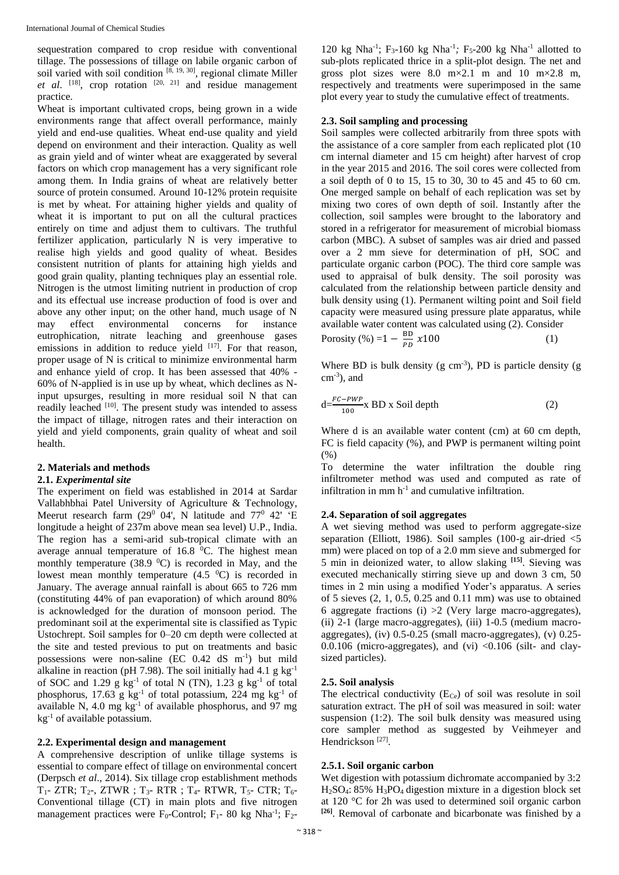sequestration compared to crop residue with conventional tillage. The possessions of tillage on labile organic carbon of soil varied with soil condition  $[8, 19, 30]$ , regional climate Miller *et al.* <sup>[18]</sup>, crop rotation  $[20, 21]$  and residue management practice.

Wheat is important cultivated crops, being grown in a wide environments range that affect overall performance, mainly yield and end-use qualities. Wheat end-use quality and yield depend on environment and their interaction. Quality as well as grain yield and of winter wheat are exaggerated by several factors on which crop management has a very significant role among them. In India grains of wheat are relatively better source of protein consumed. Around 10-12% protein requisite is met by wheat. For attaining higher yields and quality of wheat it is important to put on all the cultural practices entirely on time and adjust them to cultivars. The truthful fertilizer application, particularly N is very imperative to realise high yields and good quality of wheat. Besides consistent nutrition of plants for attaining high yields and good grain quality, planting techniques play an essential role. Nitrogen is the utmost limiting nutrient in production of crop and its effectual use increase production of food is over and above any other input; on the other hand, much usage of N may effect environmental concerns for instance eutrophication, nitrate leaching and greenhouse gases emissions in addition to reduce yield <sup>[17]</sup>. For that reason, proper usage of N is critical to minimize environmental harm and enhance yield of crop. It has been assessed that 40% - 60% of N-applied is in use up by wheat, which declines as Ninput upsurges, resulting in more residual soil N that can readily leached [10]. The present study was intended to assess the impact of tillage, nitrogen rates and their interaction on yield and yield components, grain quality of wheat and soil health.

#### **2. Materials and methods**

#### **2.1.** *Experimental site*

The experiment on field was established in 2014 at Sardar Vallabhbhai Patel University of Agriculture & Technology, Meerut research farm  $(29^{\circ}$  04', N latitude and 77<sup>0</sup> 42' <sup>"</sup>E longitude a height of 237m above mean sea level) U.P., India. The region has a semi-arid sub-tropical climate with an average annual temperature of  $16.8 \degree$ C. The highest mean monthly temperature (38.9  $^{\circ}$ C) is recorded in May, and the lowest mean monthly temperature  $(4.5<sup>0</sup>C)$  is recorded in January. The average annual rainfall is about 665 to 726 mm (constituting 44% of pan evaporation) of which around 80% is acknowledged for the duration of monsoon period. The predominant soil at the experimental site is classified as Typic Ustochrept. Soil samples for 0–20 cm depth were collected at the site and tested previous to put on treatments and basic possessions were non-saline (EC 0.42 dS m-1 ) but mild alkaline in reaction (pH 7.98). The soil initially had 4.1 g kg<sup>-1</sup> of SOC and 1.29 g kg-1 of total N (TN), 1.23 g kg-1 of total phosphorus, 17.63 g kg<sup>-1</sup> of total potassium, 224 mg kg<sup>-1</sup> of available N,  $4.0 \text{ mg kg}^{-1}$  of available phosphorus, and 97 mg  $kg^{-1}$  of available potassium.

#### **2.2. Experimental design and management**

A comprehensive description of unlike tillage systems is essential to compare effect of tillage on environmental concert (Derpsch *et al*., 2014). Six tillage crop establishment methods  $T_1$ - ZTR;  $T_2$ -, ZTWR;  $T_3$ - RTR;  $T_4$ - RTWR,  $T_5$ - CTR;  $T_6$ -Conventional tillage (CT) in main plots and five nitrogen management practices were  $F_0$ -Control;  $F_1$ - 80 kg Nha<sup>-1</sup>;  $F_2$ -

120 kg Nha<sup>-1</sup>;  $F_3$ -160 kg Nha<sup>-1</sup>;  $F_5$ -200 kg Nha<sup>-1</sup> allotted to sub-plots replicated thrice in a split-plot design. The net and gross plot sizes were 8.0  $m \times 2.1$  m and 10  $m \times 2.8$  m, respectively and treatments were superimposed in the same plot every year to study the cumulative effect of treatments.

## **2.3. Soil sampling and processing**

Soil samples were collected arbitrarily from three spots with the assistance of a core sampler from each replicated plot (10 cm internal diameter and 15 cm height) after harvest of crop in the year 2015 and 2016. The soil cores were collected from a soil depth of 0 to 15, 15 to 30, 30 to 45 and 45 to 60 cm. One merged sample on behalf of each replication was set by mixing two cores of own depth of soil. Instantly after the collection, soil samples were brought to the laboratory and stored in a refrigerator for measurement of microbial biomass carbon (MBC). A subset of samples was air dried and passed over a 2 mm sieve for determination of pH, SOC and particulate organic carbon (POC). The third core sample was used to appraisal of bulk density. The soil porosity was calculated from the relationship between particle density and bulk density using (1). Permanent wilting point and Soil field capacity were measured using pressure plate apparatus, while available water content was calculated using (2). Consider

Porosity  $(\%)=1-\frac{BD}{BD}$  $\frac{10}{p} x100$  (1)

Where BD is bulk density  $(g \text{ cm}^{-3})$ , PD is particle density  $(g \text{ cm}^{-3})$  $\text{cm}^3$ ), and

$$
d = \frac{FC-PWP}{100} \times BD \times Solid depth
$$
 (2)

Where d is an available water content (cm) at 60 cm depth, FC is field capacity (%), and PWP is permanent wilting point (%)

To determine the water infiltration the double ring infiltrometer method was used and computed as rate of infiltration in mm  $h^{-1}$  and cumulative infiltration.

#### **2.4. Separation of soil aggregates**

A wet sieving method was used to perform aggregate-size separation (Elliott, 1986). Soil samples (100-g air-dried <5 mm) were placed on top of a 2.0 mm sieve and submerged for 5 min in deionized water, to allow slaking **[15]**. Sieving was executed mechanically stirring sieve up and down 3 cm, 50 times in 2 min using a modified Yoder's apparatus. A series of 5 sieves  $(2, 1, 0.5, 0.25, 0.11, 0.05)$  was use to obtained 6 aggregate fractions (i)  $>2$  (Very large macro-aggregates), (ii) 2-1 (large macro-aggregates), (iii) 1-0.5 (medium macroaggregates), (iv)  $0.5$ -0.25 (small macro-aggregates), (v)  $0.25$ -0.0.106 (micro-aggregates), and (vi)  $\langle$ 0.106 (silt- and claysized particles).

#### **2.5. Soil analysis**

The electrical conductivity  $(E_{C_{e}})$  of soil was resolute in soil saturation extract. The pH of soil was measured in soil: water suspension (1:2). The soil bulk density was measured using core sampler method as suggested by Veihmeyer and Hendrickson<sup>[27]</sup>.

#### **2.5.1. Soil organic carbon**

Wet digestion with potassium dichromate accompanied by 3:2 H2SO4: 85% H3PO4 digestion mixture in a digestion block set at 120 °C for 2h was used to determined soil organic carbon **[26]**. Removal of carbonate and bicarbonate was finished by a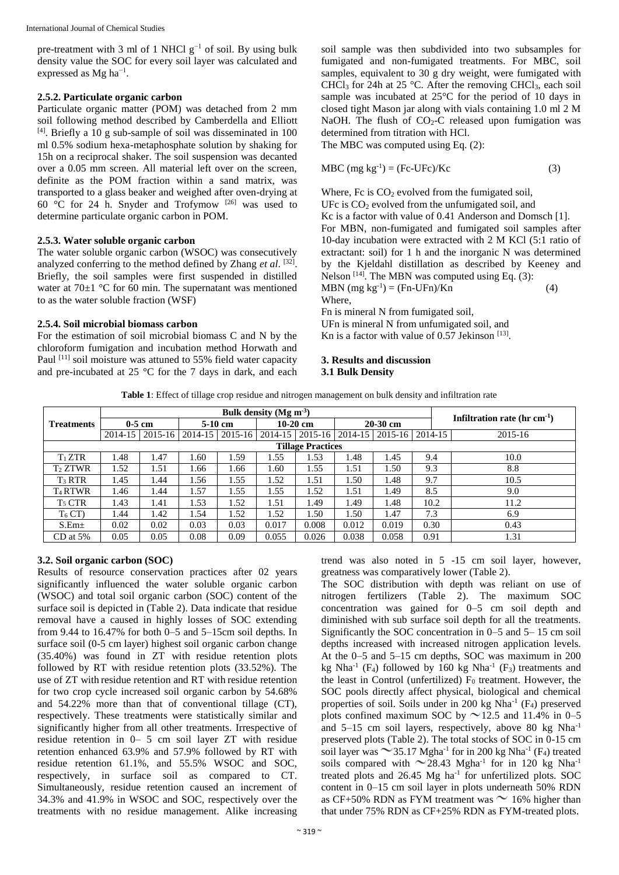pre-treatment with 3 ml of 1 NHCl  $g^{-1}$  of soil. By using bulk density value the SOC for every soil layer was calculated and expressed as Mg ha<sup>-1</sup>.

## **2.5.2. Particulate organic carbon**

Particulate organic matter (POM) was detached from 2 mm soil following method described by Camberdella and Elliott  $[4]$ . Briefly a 10 g sub-sample of soil was disseminated in 100 ml 0.5% sodium hexa-metaphosphate solution by shaking for 15h on a reciprocal shaker. The soil suspension was decanted over a 0.05 mm screen. All material left over on the screen, definite as the POM fraction within a sand matrix, was transported to a glass beaker and weighed after oven-drying at 60  $\degree$ C for 24 h. Snyder and Trofymow <sup>[26]</sup> was used to determine particulate organic carbon in POM.

#### **2.5.3. Water soluble organic carbon**

The water soluble organic carbon (WSOC) was consecutively analyzed conferring to the method defined by Zhang *et al.* [32]. Briefly, the soil samples were first suspended in distilled water at  $70\pm1$  °C for 60 min. The supernatant was mentioned to as the water soluble fraction (WSF)

## **2.5.4. Soil microbial biomass carbon**

For the estimation of soil microbial biomass C and N by the chloroform fumigation and incubation method Horwath and Paul <sup>[11]</sup> soil moisture was attuned to 55% field water capacity and pre-incubated at 25 °C for the 7 days in dark, and each

soil sample was then subdivided into two subsamples for fumigated and non-fumigated treatments. For MBC, soil samples, equivalent to 30 g dry weight, were fumigated with CHCl<sub>3</sub> for 24h at 25 °C. After the removing CHCl<sub>3</sub>, each soil sample was incubated at 25°C for the period of 10 days in closed tight Mason jar along with vials containing 1.0 ml 2 M NaOH. The flush of  $CO<sub>2</sub>-C$  released upon fumigation was determined from titration with HCl.

The MBC was computed using Eq. (2):

$$
MBC (mg kg-1) = (Fc-UFc)/Kc
$$
 (3)

Where,  $Fc$  is  $CO<sub>2</sub>$  evolved from the fumigated soil, UFc is  $CO<sub>2</sub>$  evolved from the unfumigated soil, and Kc is a factor with value of 0.41 Anderson and Domsch [1]. For MBN, non-fumigated and fumigated soil samples after 10-day incubation were extracted with 2 M KCl (5:1 ratio of extractant: soil) for 1 h and the inorganic N was determined by the Kjeldahl distillation as described by Keeney and Nelson  $[14]$ . The MBN was computed using Eq. (3): MBN  $(mg kg^{-1}) = (Fn-UFn)/Kn$  (4) Where,

Fn is mineral N from fumigated soil, UFn is mineral N from unfumigated soil, and Kn is a factor with value of  $0.57$  Jekinson  $^{[13]}$ .

## **3. Results and discussion 3.1 Bulk Density**

**Table 1**: Effect of tillage crop residue and nitrogen management on bulk density and infiltration rate

| <b>Treatments</b>        | $0-5$ cm |             | $5-10$ cm |             | $10-20$ cm |         | $20-30$ cm |                   |      | Infiltration rate $(hr cm^{-1})$ |  |
|--------------------------|----------|-------------|-----------|-------------|------------|---------|------------|-------------------|------|----------------------------------|--|
|                          | 2014-15  | $2015 - 16$ | 2014-15   | $2015 - 16$ | 2014-15    | 2015-16 | 2014-15    | 2015-16   2014-15 |      | 2015-16                          |  |
| <b>Tillage Practices</b> |          |             |           |             |            |         |            |                   |      |                                  |  |
| $T_1 ZTR$                | 1.48     | .47         | 1.60      | . . 59      | 1.55       | 1.53    | 1.48       | 1.45              | 9.4  | 10.0                             |  |
| $T_2 ZTWR$               | 1.52     | .51         | 1.66      | 1.66        | 1.60       | 1.55    | l.51       | 1.50              | 9.3  | 8.8                              |  |
| $T_3 RTR$                | 1.45     | 1.44        | 1.56      | 1.55        | 1.52       | 1.51    | 1.50       | 1.48              | 9.7  | 10.5                             |  |
| T <sub>4</sub> RTWR      | 1.46     | 1.44        | 1.57      | 1.55        | 1.55       | 1.52    | 1.51       | 1.49              | 8.5  | 9.0                              |  |
| $T_5$ CTR                | 1.43     | 1.41        | 1.53      | 1.52        | 1.51       | 1.49    | . 49       | 1.48              | 10.2 | 11.2                             |  |
| $T_6$ CT)                | 1.44     | 1.42        | 1.54      | 1.52        | 1.52       | 1.50    | 1.50       | 1.47              | 7.3  | 6.9                              |  |
| $S.Em\pm$                | 0.02     | 0.02        | 0.03      | 0.03        | 0.017      | 0.008   | 0.012      | 0.019             | 0.30 | 0.43                             |  |
| $CD$ at 5%               | 0.05     | 0.05        | 0.08      | 0.09        | 0.055      | 0.026   | 0.038      | 0.058             | 0.91 | 1.31                             |  |

#### **3.2. Soil organic carbon (SOC)**

Results of resource conservation practices after 02 years significantly influenced the water soluble organic carbon (WSOC) and total soil organic carbon (SOC) content of the surface soil is depicted in (Table 2). Data indicate that residue removal have a caused in highly losses of SOC extending from 9.44 to 16.47% for both  $0-5$  and  $5-15$ cm soil depths. In surface soil (0-5 cm layer) highest soil organic carbon change (35.40%) was found in ZT with residue retention plots followed by RT with residue retention plots (33.52%). The use of ZT with residue retention and RT with residue retention for two crop cycle increased soil organic carbon by 54.68% and 54.22% more than that of conventional tillage (CT), respectively. These treatments were statistically similar and significantly higher from all other treatments. Irrespective of residue retention in 0– 5 cm soil layer ZT with residue retention enhanced 63.9% and 57.9% followed by RT with residue retention 61.1%, and 55.5% WSOC and SOC, respectively, in surface soil as compared to CT. Simultaneously, residue retention caused an increment of 34.3% and 41.9% in WSOC and SOC, respectively over the treatments with no residue management. Alike increasing

trend was also noted in 5 -15 cm soil layer, however, greatness was comparatively lower (Table 2).

The SOC distribution with depth was reliant on use of nitrogen fertilizers (Table 2). The maximum SOC concentration was gained for 0–5 cm soil depth and diminished with sub surface soil depth for all the treatments. Significantly the SOC concentration in 0–5 and 5– 15 cm soil depths increased with increased nitrogen application levels. At the 0–5 and 5–15 cm depths, SOC was maximum in 200 kg Nha<sup>-1</sup> (F<sub>4</sub>) followed by 160 kg Nha<sup>-1</sup> (F<sub>3</sub>) treatments and the least in Control (unfertilized)  $F_0$  treatment. However, the SOC pools directly affect physical, biological and chemical properties of soil. Soils under in 200 kg Nha<sup>-1</sup>  $(F_4)$  preserved plots confined maximum SOC by  $\sim$  12.5 and 11.4% in 0–5 and  $5-15$  cm soil layers, respectively, above 80 kg Nha<sup>-1</sup> preserved plots (Table 2). The total stocks of SOC in 0-15 cm soil layer was  $\sim$  35.17 Mgha<sup>-1</sup> for in 200 kg Nha<sup>-1</sup> (F<sub>4</sub>) treated soils compared with  $\sim$  28.43 Mgha<sup>-1</sup> for in 120 kg Nha<sup>-1</sup> treated plots and 26.45 Mg ha<sup>-1</sup> for unfertilized plots. SOC content in 0–15 cm soil layer in plots underneath 50% RDN as CF+50% RDN as FYM treatment was  $\sim$  16% higher than that under 75% RDN as CF+25% RDN as FYM-treated plots.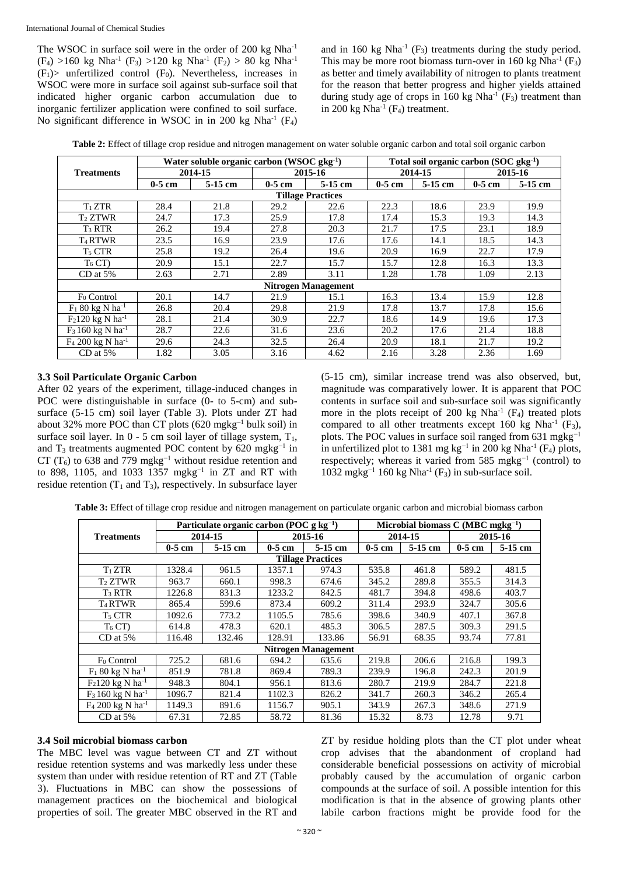The WSOC in surface soil were in the order of 200 kg Nha<sup>-1</sup>  $(F_4) > 160$  kg Nha<sup>-1</sup>  $(F_3) > 120$  kg Nha<sup>-1</sup>  $(F_2) > 80$  kg Nha<sup>-1</sup>  $(F_1)$  unfertilized control  $(F_0)$ . Nevertheless, increases in WSOC were more in surface soil against sub-surface soil that indicated higher organic carbon accumulation due to inorganic fertilizer application were confined to soil surface. No significant difference in WSOC in in 200 kg Nha<sup>-1</sup> (F<sub>4</sub>)

and in 160 kg  $Nha^{-1}$  (F<sub>3</sub>) treatments during the study period. This may be more root biomass turn-over in 160 kg Nha<sup>-1</sup> ( $F_3$ ) as better and timely availability of nitrogen to plants treatment for the reason that better progress and higher yields attained during study age of crops in 160 kg Nha<sup>-1</sup>  $(F_3)$  treatment than in 200 kg  $Nha^{-1}$  ( $F_4$ ) treatment.

|  |  | Table 2: Effect of tillage crop residue and nitrogen management on water soluble organic carbon and total soil organic carbon |
|--|--|-------------------------------------------------------------------------------------------------------------------------------|
|  |  |                                                                                                                               |

|                                          |          | Water soluble organic carbon (WSOC $gkg^{-1}$ ) |          | Total soil organic carbon $(SOC gkg^{-1})$ |          |           |          |         |
|------------------------------------------|----------|-------------------------------------------------|----------|--------------------------------------------|----------|-----------|----------|---------|
| <b>Treatments</b>                        |          | 2014-15                                         |          | 2015-16                                    |          | 2014-15   | 2015-16  |         |
|                                          | $0-5$ cm | $5-15$ cm                                       | $0-5$ cm | 5-15 cm                                    | $0-5$ cm | $5-15$ cm | $0-5$ cm | 5-15 cm |
| <b>Tillage Practices</b>                 |          |                                                 |          |                                            |          |           |          |         |
| $T_1 ZTR$                                | 28.4     | 21.8                                            | 29.2     | 22.6                                       | 22.3     | 18.6      | 23.9     | 19.9    |
| $T_2 ZTWR$                               | 24.7     | 17.3                                            | 25.9     | 17.8                                       | 17.4     | 15.3      | 19.3     | 14.3    |
| $T_3 RTR$                                | 26.2     | 19.4                                            | 27.8     | 20.3                                       | 21.7     | 17.5      | 23.1     | 18.9    |
| T <sub>4</sub> RTWR                      | 23.5     | 16.9                                            | 23.9     | 17.6                                       | 17.6     | 14.1      | 18.5     | 14.3    |
| T <sub>5</sub> CTR                       | 25.8     | 19.2                                            | 26.4     | 19.6                                       | 20.9     | 16.9      | 22.7     | 17.9    |
| $T_6$ CT)                                | 20.9     | 15.1                                            | 22.7     | 15.7                                       | 15.7     | 12.8      | 16.3     | 13.3    |
| $CD$ at 5%                               | 2.63     | 2.71                                            | 2.89     | 3.11                                       | 1.28     | 1.78      | 1.09     | 2.13    |
|                                          |          |                                                 |          | <b>Nitrogen Management</b>                 |          |           |          |         |
| F <sub>0</sub> Control                   | 20.1     | 14.7                                            | 21.9     | 15.1                                       | 16.3     | 13.4      | 15.9     | 12.8    |
| $F_1$ 80 kg N ha <sup>-1</sup>           | 26.8     | 20.4                                            | 29.8     | 21.9                                       | 17.8     | 13.7      | 17.8     | 15.6    |
| $F_2120 \text{ kg N} \text{ ha}^{-1}$    | 28.1     | 21.4                                            | 30.9     | 22.7                                       | 18.6     | 14.9      | 19.6     | 17.3    |
| $F_3 160 \text{ kg N} \text{ ha}^{-1}$   | 28.7     | 22.6                                            | 31.6     | 23.6                                       | 20.2     | 17.6      | 21.4     | 18.8    |
| F <sub>4</sub> 200 kg N ha <sup>-1</sup> | 29.6     | 24.3                                            | 32.5     | 26.4                                       | 20.9     | 18.1      | 21.7     | 19.2    |
| $CD$ at 5%                               | 1.82     | 3.05                                            | 3.16     | 4.62                                       | 2.16     | 3.28      | 2.36     | 1.69    |

#### **3.3 Soil Particulate Organic Carbon**

After 02 years of the experiment, tillage-induced changes in POC were distinguishable in surface (0- to 5-cm) and subsurface (5-15 cm) soil layer (Table 3). Plots under ZT had about 32% more POC than CT plots (620 mgkg–1 bulk soil) in surface soil layer. In  $0 - 5$  cm soil layer of tillage system,  $T_1$ , and  $T_3$  treatments augmented POC content by 620 mgkg<sup>-1</sup> in CT (T<sub>6</sub>) to 638 and 779 mgkg<sup>-1</sup> without residue retention and to 898, 1105, and 1033 1357 mgkg<sup>-1</sup> in ZT and RT with residue retention  $(T_1$  and  $T_3$ ), respectively. In subsurface layer

(5-15 cm), similar increase trend was also observed, but, magnitude was comparatively lower. It is apparent that POC contents in surface soil and sub-surface soil was significantly more in the plots receipt of 200 kg  $Nha^{-1}$  ( $F_4$ ) treated plots compared to all other treatments except 160 kg Nha<sup>-1</sup> ( $F_3$ ), plots. The POC values in surface soil ranged from  $631 \text{ mgkg}^{-1}$ in unfertilized plot to 1381 mg kg<sup>-1</sup> in 200 kg Nha<sup>-1</sup> (F<sub>4</sub>) plots, respectively; whereas it varied from 585 mgkg<sup>-1</sup> (control) to 1032 mgkg<sup>-1</sup> 160 kg Nha<sup>-1</sup> (F<sub>3</sub>) in sub-surface soil.

**Table 3:** Effect of tillage crop residue and nitrogen management on particulate organic carbon and microbial biomass carbon

|                                        |                          | Particulate organic carbon (POC $g kg^{-1}$ ) |          | Microbial biomass $C(MBC \, m gkg^{-1})$ |          |           |          |           |
|----------------------------------------|--------------------------|-----------------------------------------------|----------|------------------------------------------|----------|-----------|----------|-----------|
| <b>Treatments</b>                      |                          | 2014-15                                       |          | 2015-16                                  |          | 2014-15   | 2015-16  |           |
|                                        | $0-5$ cm                 | 5-15 cm                                       | $0-5$ cm | $5-15$ cm                                | $0-5$ cm | $5-15$ cm | $0-5$ cm | $5-15$ cm |
|                                        | <b>Tillage Practices</b> |                                               |          |                                          |          |           |          |           |
| $T_1 ZTR$                              | 1328.4                   | 961.5                                         | 1357.1   | 974.3                                    | 535.8    | 461.8     | 589.2    | 481.5     |
| $T_2 ZTWR$                             | 963.7                    | 660.1                                         | 998.3    | 674.6                                    | 345.2    | 289.8     | 355.5    | 314.3     |
| $T_3 RTR$                              | 1226.8                   | 831.3                                         | 1233.2   | 842.5                                    | 481.7    | 394.8     | 498.6    | 403.7     |
| <b>T<sub>4</sub>RTWR</b>               | 865.4                    | 599.6                                         | 873.4    | 609.2                                    | 311.4    | 293.9     | 324.7    | 305.6     |
| T <sub>5</sub> CTR                     | 1092.6                   | 773.2                                         | 1105.5   | 785.6                                    | 398.6    | 340.9     | 407.1    | 367.8     |
| $T_6$ CT)                              | 614.8                    | 478.3                                         | 620.1    | 485.3                                    | 306.5    | 287.5     | 309.3    | 291.5     |
| $CD$ at 5%                             | 116.48                   | 132.46                                        | 128.91   | 133.86                                   | 56.91    | 68.35     | 93.74    | 77.81     |
|                                        |                          |                                               |          | <b>Nitrogen Management</b>               |          |           |          |           |
| F <sub>0</sub> Control                 | 725.2                    | 681.6                                         | 694.2    | 635.6                                    | 219.8    | 206.6     | 216.8    | 199.3     |
| $F_1$ 80 kg N ha <sup>-1</sup>         | 851.9                    | 781.8                                         | 869.4    | 789.3                                    | 239.9    | 196.8     | 242.3    | 201.9     |
| $F_2120 \text{ kg N} \text{ ha}^{-1}$  | 948.3                    | 804.1                                         | 956.1    | 813.6                                    | 280.7    | 219.9     | 284.7    | 221.8     |
| $F_3 160 \text{ kg N} \text{ ha}^{-1}$ | 1096.7                   | 821.4                                         | 1102.3   | 826.2                                    | 341.7    | 260.3     | 346.2    | 265.4     |
| $F_4 200 kg N h a^{-1}$                | 1149.3                   | 891.6                                         | 1156.7   | 905.1                                    | 343.9    | 267.3     | 348.6    | 271.9     |
| $CD$ at 5%                             | 67.31                    | 72.85                                         | 58.72    | 81.36                                    | 15.32    | 8.73      | 12.78    | 9.71      |

#### **3.4 Soil microbial biomass carbon**

The MBC level was vague between CT and ZT without residue retention systems and was markedly less under these system than under with residue retention of RT and ZT (Table 3). Fluctuations in MBC can show the possessions of management practices on the biochemical and biological properties of soil. The greater MBC observed in the RT and

ZT by residue holding plots than the CT plot under wheat crop advises that the abandonment of cropland had considerable beneficial possessions on activity of microbial probably caused by the accumulation of organic carbon compounds at the surface of soil. A possible intention for this modification is that in the absence of growing plants other labile carbon fractions might be provide food for the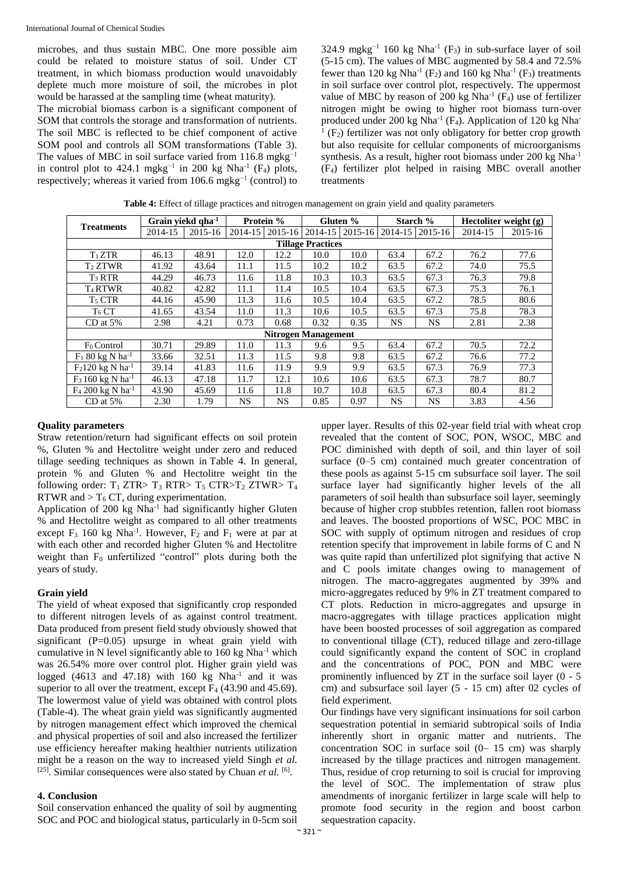microbes, and thus sustain MBC. One more possible aim could be related to moisture status of soil. Under CT treatment, in which biomass production would unavoidably deplete much more moisture of soil, the microbes in plot would be harassed at the sampling time (wheat maturity).

The microbial biomass carbon is a significant component of SOM that controls the storage and transformation of nutrients. The soil MBC is reflected to be chief component of active SOM pool and controls all SOM transformations (Table 3). The values of MBC in soil surface varied from 116.8 mgkg<sup>-1</sup> in control plot to 424.1 mgkg<sup>-1</sup> in 200 kg Nha<sup>-1</sup> (F<sub>4</sub>) plots, respectively; whereas it varied from  $106.6 \text{ mgkg}^{-1}$  (control) to

324.9 mgkg<sup>-1</sup> 160 kg Nha<sup>-1</sup> (F<sub>3</sub>) in sub-surface layer of soil (5-15 cm). The values of MBC augmented by 58.4 and 72.5% fewer than 120 kg Nha<sup>-1</sup> (F<sub>2</sub>) and 160 kg Nha<sup>-1</sup> (F<sub>3</sub>) treatments in soil surface over control plot, respectively. The uppermost value of MBC by reason of 200 kg Nha<sup>-1</sup>  $(F_4)$  use of fertilizer nitrogen might be owing to higher root biomass turn-over produced under 200 kg Nha<sup>-1</sup> (F<sub>4</sub>). Application of 120 kg Nha<sup>-1</sup>  $<sup>1</sup>$  (F<sub>2</sub>) fertilizer was not only obligatory for better crop growth</sup> but also requisite for cellular components of microorganisms synthesis. As a result, higher root biomass under  $200 \text{ kg} \text{ Nha}^{-1}$ (F4) fertilizer plot helped in raising MBC overall another treatments

|                                       | Grain viekd qha <sup>-1</sup> |         | Protein % |             | Gluten % |                   | Starch %    |             | Hectoliter weight (g) |         |
|---------------------------------------|-------------------------------|---------|-----------|-------------|----------|-------------------|-------------|-------------|-----------------------|---------|
| <b>Treatments</b>                     | 2014-15                       | 2015-16 | 2014-15   | $2015 - 16$ |          | 2014-15   2015-16 | $2014 - 15$ | $2015 - 16$ | 2014-15               | 2015-16 |
| <b>Tillage Practices</b>              |                               |         |           |             |          |                   |             |             |                       |         |
| $T_1 ZTR$                             | 46.13                         | 48.91   | 12.0      | 12.2        | 10.0     | 10.0              | 63.4        | 67.2        | 76.2                  | 77.6    |
| $T_2 ZTWR$                            | 41.92                         | 43.64   | 11.1      | 11.5        | 10.2     | 10.2              | 63.5        | 67.2        | 74.0                  | 75.5    |
| $T_3 RTR$                             | 44.29                         | 46.73   | 11.6      | 11.8        | 10.3     | 10.3              | 63.5        | 67.3        | 76.3                  | 79.8    |
| T <sub>4</sub> RTWR                   | 40.82                         | 42.82   | 11.1      | 11.4        | 10.5     | 10.4              | 63.5        | 67.3        | 75.3                  | 76.1    |
| $T_5$ CTR                             | 44.16                         | 45.90   | 11.3      | 11.6        | 10.5     | 10.4              | 63.5        | 67.2        | 78.5                  | 80.6    |
| T <sub>6</sub> CT                     | 41.65                         | 43.54   | 11.0      | 11.3        | 10.6     | 10.5              | 63.5        | 67.3        | 75.8                  | 78.3    |
| $CD$ at 5%                            | 2.98                          | 4.21    | 0.73      | 0.68        | 0.32     | 0.35              | <b>NS</b>   | NS.         | 2.81                  | 2.38    |
|                                       | <b>Nitrogen Management</b>    |         |           |             |          |                   |             |             |                       |         |
| $F_0$ Control                         | 30.71                         | 29.89   | 11.0      | 11.3        | 9.6      | 9.5               | 63.4        | 67.2        | 70.5                  | 72.2    |
| $F_1$ 80 kg N ha <sup>-1</sup>        | 33.66                         | 32.51   | 11.3      | 11.5        | 9.8      | 9.8               | 63.5        | 67.2        | 76.6                  | 77.2    |
| $F_2120 \text{ kg N} \text{ ha}^{-1}$ | 39.14                         | 41.83   | 11.6      | 11.9        | 9.9      | 9.9               | 63.5        | 67.3        | 76.9                  | 77.3    |
| $F_3$ 160 kg N ha <sup>-1</sup>       | 46.13                         | 47.18   | 11.7      | 12.1        | 10.6     | 10.6              | 63.5        | 67.3        | 78.7                  | 80.7    |
| $F_4$ 200 kg N ha <sup>-1</sup>       | 43.90                         | 45.69   | 11.6      | 11.8        | 10.7     | 10.8              | 63.5        | 67.3        | 80.4                  | 81.2    |
| $CD$ at 5%                            | 2.30                          | 1.79    | NS        | <b>NS</b>   | 0.85     | 0.97              | <b>NS</b>   | <b>NS</b>   | 3.83                  | 4.56    |

**Table 4:** Effect of tillage practices and nitrogen management on grain yield and quality parameters

## **Quality parameters**

Straw retention/return had significant effects on soil protein %, Gluten % and Hectolitre weight under zero and reduced tillage seeding techniques as shown in Table 4. In general, protein % and Gluten % and Hectolitre weight tin the following order:  $T_1$  ZTR>  $T_3$  RTR>  $T_5$  CTR> $T_2$  ZTWR>  $T_4$ RTWR and  $> T_6$  CT, during experimentation.

Application of 200 kg  $Nha^{-1}$  had significantly higher Gluten % and Hectolitre weight as compared to all other treatments except  $F_3$  160 kg Nha<sup>-1</sup>. However,  $F_2$  and  $F_1$  were at par at with each other and recorded higher Gluten % and Hectolitre weight than  $F_0$  unfertilized "control" plots during both the years of study.

#### **Grain yield**

The yield of wheat exposed that significantly crop responded to different nitrogen levels of as against control treatment. Data produced from present field study obviously showed that significant (P=0.05) upsurge in wheat grain yield with cumulative in N level significantly able to 160 kg Nha-1 which was 26.54% more over control plot. Higher grain yield was logged  $(4613$  and  $47.18$ ) with  $160$  kg Nha<sup>-1</sup> and it was superior to all over the treatment, except  $F_4$  (43.90 and 45.69). The lowermost value of yield was obtained with control plots (Table-4). The wheat grain yield was significantly augmented by nitrogen management effect which improved the chemical and physical properties of soil and also increased the fertilizer use efficiency hereafter making healthier nutrients utilization might be a reason on the way to increased yield Singh *et al.*   $^{[25]}$ . Similar consequences were also stated by Chuan *et al.*  $^{[6]}$ .

#### **4. Conclusion**

Soil conservation enhanced the quality of soil by augmenting SOC and POC and biological status, particularly in 0-5cm soil

upper layer. Results of this 02-year field trial with wheat crop revealed that the content of SOC, PON, WSOC, MBC and POC diminished with depth of soil, and thin layer of soil surface (0–5 cm) contained much greater concentration of these pools as against 5-15 cm subsurface soil layer. The soil surface layer had significantly higher levels of the all parameters of soil health than subsurface soil layer, seemingly because of higher crop stubbles retention, fallen root biomass and leaves. The boosted proportions of WSC, POC MBC in SOC with supply of optimum nitrogen and residues of crop retention specify that improvement in labile forms of C and N was quite rapid than unfertilized plot signifying that active N and C pools imitate changes owing to management of nitrogen. The macro-aggregates augmented by 39% and micro-aggregates reduced by 9% in ZT treatment compared to CT plots. Reduction in micro-aggregates and upsurge in macro-aggregates with tillage practices application might have been boosted processes of soil aggregation as compared to conventional tillage (CT), reduced tillage and zero-tillage could significantly expand the content of SOC in cropland and the concentrations of POC, PON and MBC were prominently influenced by ZT in the surface soil layer (0 - 5 cm) and subsurface soil layer (5 - 15 cm) after 02 cycles of field experiment.

Our findings have very significant insinuations for soil carbon sequestration potential in semiarid subtropical soils of India inherently short in organic matter and nutrients. The concentration SOC in surface soil (0– 15 cm) was sharply increased by the tillage practices and nitrogen management. Thus, residue of crop returning to soil is crucial for improving the level of SOC. The implementation of straw plus amendments of inorganic fertilizer in large scale will help to promote food security in the region and boost carbon sequestration capacity.